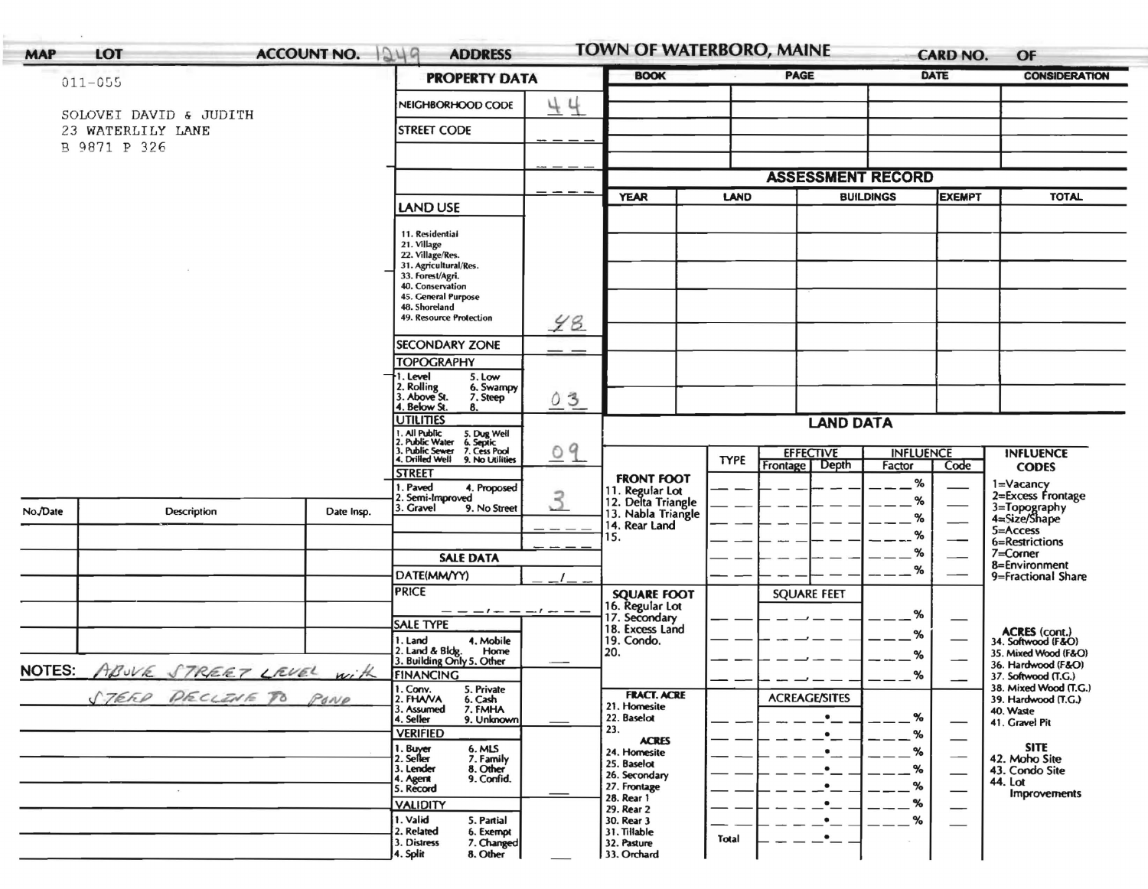| $011 - 055$<br>23 WATERLILY LANE<br>B 9871 P 326 | SOLOVEI DAVID & JUDITH |            | <b>PROPERTY DATA</b><br>NEIGHBORHOOD CODE<br><b>STREET CODE</b><br>LAND USE<br>11. Residential<br>21. Village<br>22. Village/Res.<br>31. Agricultural/Res. | 44    | <b>YEAR</b>                           | LAND        | <b>ASSESSMENT RECORD</b>                    |                  | <b>EXEMPT</b>                 |                                                             |
|--------------------------------------------------|------------------------|------------|------------------------------------------------------------------------------------------------------------------------------------------------------------|-------|---------------------------------------|-------------|---------------------------------------------|------------------|-------------------------------|-------------------------------------------------------------|
|                                                  |                        |            |                                                                                                                                                            |       |                                       |             |                                             |                  |                               |                                                             |
|                                                  |                        |            |                                                                                                                                                            |       |                                       |             |                                             |                  |                               |                                                             |
|                                                  |                        |            |                                                                                                                                                            |       |                                       |             |                                             |                  |                               |                                                             |
|                                                  |                        |            |                                                                                                                                                            |       |                                       |             |                                             |                  |                               |                                                             |
|                                                  |                        |            |                                                                                                                                                            |       |                                       |             |                                             |                  |                               |                                                             |
|                                                  |                        |            |                                                                                                                                                            |       |                                       |             |                                             | <b>BUILDINGS</b> |                               | <b>TOTAL</b>                                                |
|                                                  |                        |            |                                                                                                                                                            |       |                                       |             |                                             |                  |                               |                                                             |
|                                                  |                        |            |                                                                                                                                                            |       |                                       |             |                                             |                  |                               |                                                             |
|                                                  |                        |            |                                                                                                                                                            |       |                                       |             |                                             |                  |                               |                                                             |
|                                                  |                        |            | 33. Forest/Agri.                                                                                                                                           |       |                                       |             |                                             |                  |                               |                                                             |
|                                                  |                        |            | 40. Conservation<br>45. General Purpose                                                                                                                    |       |                                       |             |                                             |                  |                               |                                                             |
|                                                  |                        |            | 48. Shoreland<br>49. Resource Protection                                                                                                                   |       |                                       |             |                                             |                  |                               |                                                             |
|                                                  |                        |            |                                                                                                                                                            | 48    |                                       |             |                                             |                  |                               |                                                             |
|                                                  |                        |            | <b>SECONDARY ZONE</b><br><b>TOPOGRAPHY</b>                                                                                                                 |       |                                       |             |                                             |                  |                               |                                                             |
|                                                  |                        |            | 1. Level<br>5. Low                                                                                                                                         |       |                                       |             |                                             |                  |                               |                                                             |
|                                                  |                        |            | 2. Rolling<br>3. Above St.<br>6. Swampy<br>7. Steep                                                                                                        | 03    |                                       |             |                                             |                  |                               |                                                             |
|                                                  |                        |            | 4. Below St.<br>8.<br><b>UTILITIES</b>                                                                                                                     |       |                                       |             |                                             |                  |                               |                                                             |
|                                                  |                        |            |                                                                                                                                                            |       |                                       |             | <b>LAND DATA</b>                            |                  |                               |                                                             |
|                                                  |                        |            | 1. All Public<br>2. Public Water<br>3. Public Sewer<br>4. Drilled Well<br>5. Dug Well<br>6. Septic<br>7. Cess Pool<br>9. No Utilities                      | 09    |                                       | <b>TYPE</b> | <b>EFFECTIVE</b>                            | <b>INFLUENCE</b> |                               | <b>INFLUENCE</b>                                            |
|                                                  |                        |            | <b>STREET</b>                                                                                                                                              |       | <b>FRONT FOOT</b>                     |             | Frontage Depth                              | Factor           | Code                          | <b>CODES</b>                                                |
|                                                  |                        |            | . Paved<br>4. Proposed<br>2. Semi-Improved                                                                                                                 |       | 11. Regular Lot<br>12. Delta Triangle |             |                                             | %                |                               | 1=Vacancy<br>2=Excess Frontage                              |
| No./Date                                         | <b>Description</b>     | Date Insp. | . Gravel<br>9. No Street                                                                                                                                   | 3     | 13. Nabla Triangle                    |             |                                             | %<br>%           |                               | 3=Topography<br>4=Size/Shape                                |
|                                                  |                        |            |                                                                                                                                                            | - - - | 14. Rear Land<br>15.                  |             |                                             | %                |                               | 5=Access                                                    |
|                                                  |                        |            | <b>SALE DATA</b>                                                                                                                                           |       |                                       |             |                                             | %                |                               | 6=Restrictions<br>7=Corner                                  |
|                                                  |                        |            | DATE(MM/YY)                                                                                                                                                |       |                                       |             |                                             | %                |                               | 8=Environment<br>9=Fractional Share                         |
|                                                  |                        |            | <b>PRICE</b>                                                                                                                                               |       | <b>SQUARE FOOT</b>                    |             | <b>SQUARE FEET</b>                          |                  |                               |                                                             |
|                                                  |                        |            | — — — <i>I — — — I —</i> —                                                                                                                                 |       | 16. Regular Lot<br>17. Secondary      |             |                                             | %                |                               |                                                             |
|                                                  |                        |            | <b>SALE TYPE</b>                                                                                                                                           |       | 18. Excess Land                       |             |                                             | %                | —                             |                                                             |
|                                                  |                        |            | 1. Land<br>4. Mobile<br>Home                                                                                                                               |       | 19. Condo.<br>20.                     |             |                                             |                  |                               | ACRES (cont.)<br>34. Softwood (F&O)<br>35. Mixed Wood (F&O) |
|                                                  |                        | with       | 2. Land & Bldg. Home<br>3. Building Only 5. Other                                                                                                          |       |                                       |             |                                             | %                |                               | 36. Hardwood (F&O)                                          |
| NOTES: ABUVE STREET LEVEL                        |                        |            | FINANCING<br>1. Conv.<br>5. Private                                                                                                                        |       |                                       |             |                                             | $-$ %            |                               | 37. Softwood (T.G.)<br>38. Mixed Wood (T.G.)                |
|                                                  | STEER PECLENE TO POND  |            | 2. FHAVA<br>6. Cash<br>3. Assumed<br>7. FMHA                                                                                                               |       | <b>FRACT. ACRE</b><br>21. Homesite    |             | <b>ACREAGE/SITES</b>                        |                  |                               | 39. Hardwood (T.G.)<br>40. Waste                            |
|                                                  |                        |            | 9. Unknown<br>4. Seller<br><b>VERIFIED</b>                                                                                                                 |       | 22. Baselot<br>23.                    |             | $\bullet$                                   | %                |                               | 41. Gravel Pit                                              |
|                                                  |                        |            | 6. MLS                                                                                                                                                     |       | <b>ACRES</b>                          |             | $\bullet-$                                  | %<br>%           |                               | <b>SITE</b>                                                 |
|                                                  |                        |            | 1. Buyer<br>2. Seller<br>7. Family<br>3. Lender<br>8. Other                                                                                                |       | 24. Homesite<br>25. Baselot           |             | $\cdot$ $\overline{\phantom{a}}$<br>$\cdot$ | %                |                               | 42. Moho Site<br>43. Condo Site                             |
|                                                  |                        |            | 9. Confid.<br>4. Agent<br>5. Record                                                                                                                        |       | 26. Secondary<br>27. Frontage         |             | ∙_                                          | %                |                               | 44. Lot                                                     |
|                                                  |                        |            | <b>VALIDITY</b>                                                                                                                                            |       | 28. Rear 1                            |             | $\bullet$                                   | %                | $\overbrace{\phantom{13333}}$ | <b>Improvements</b>                                         |
|                                                  |                        |            | 1. Valid<br>5. Partial                                                                                                                                     |       | 29. Rear 2<br>30. Rear 3              |             | $\bullet$                                   | %                |                               |                                                             |
|                                                  |                        |            | 2. Related<br>6. Exempt<br>3. Distress<br>7. Changed                                                                                                       |       | 31. Tillable<br>32. Pasture           | Total       | $\bullet$                                   |                  |                               |                                                             |